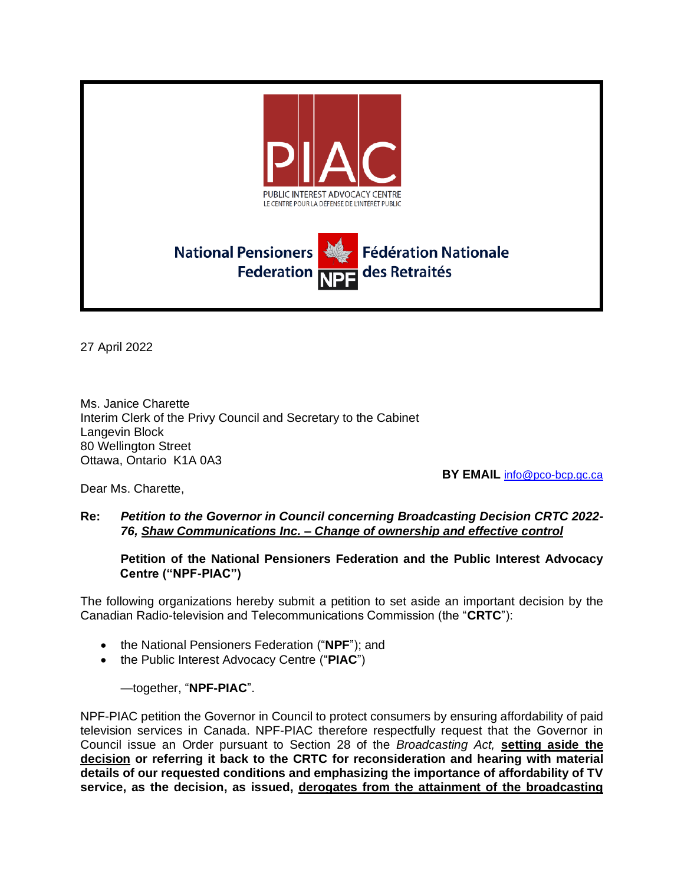

27 April 2022

Ms. Janice Charette Interim Clerk of the Privy Council and Secretary to the Cabinet Langevin Block 80 Wellington Street Ottawa, Ontario K1A 0A3

**BY EMAIL** [info@pco-bcp.gc.ca](mailto:info@pco-bcp.gc.ca)

Dear Ms. Charette,

#### **Re:** *Petition to the Governor in Council concerning Broadcasting Decision CRTC 2022- 76, Shaw Communications Inc. – Change of ownership and effective control*

**Petition of the National Pensioners Federation and the Public Interest Advocacy Centre ("NPF-PIAC")**

The following organizations hereby submit a petition to set aside an important decision by the Canadian Radio-television and Telecommunications Commission (the "**CRTC**"):

- the National Pensioners Federation ("**NPF**"); and
- the Public Interest Advocacy Centre ("**PIAC**")

#### —together, "**NPF-PIAC**".

NPF-PIAC petition the Governor in Council to protect consumers by ensuring affordability of paid television services in Canada. NPF-PIAC therefore respectfully request that the Governor in Council issue an Order pursuant to Section 28 of the *Broadcasting Act,* **setting aside the decision or referring it back to the CRTC for reconsideration and hearing with material details of our requested conditions and emphasizing the importance of affordability of TV service, as the decision, as issued, derogates from the attainment of the broadcasting**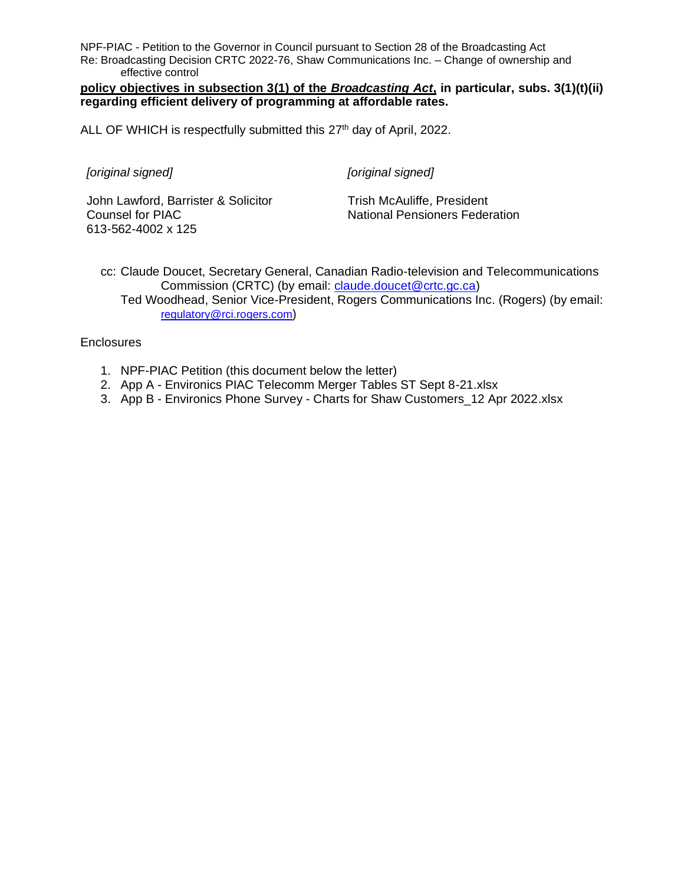NPF-PIAC - Petition to the Governor in Council pursuant to Section 28 of the Broadcasting Act Re: Broadcasting Decision CRTC 2022-76, Shaw Communications Inc. – Change of ownership and effective control

**policy objectives in subsection 3(1) of the** *Broadcasting Act***, in particular, subs. 3(1)(t)(ii) regarding efficient delivery of programming at affordable rates.**

ALL OF WHICH is respectfully submitted this 27<sup>th</sup> day of April, 2022.

*[original signed]*

*[original signed]*

John Lawford, Barrister & Solicitor Counsel for PIAC 613-562-4002 x 125

Trish McAuliffe, President National Pensioners Federation

cc: Claude Doucet, Secretary General, Canadian Radio-television and Telecommunications Commission (CRTC) (by email: [claude.doucet@crtc.gc.ca\)](mailto:claude.doucet@crtc.gc.ca) Ted Woodhead, Senior Vice-President, Rogers Communications Inc. (Rogers) (by email: [regulatory@rci.rogers.com](mailto:regulatory@rci.rogers.com))

**Enclosures** 

- 1. NPF-PIAC Petition (this document below the letter)
- 2. App A Environics PIAC Telecomm Merger Tables ST Sept 8-21.xlsx
- 3. App B Environics Phone Survey Charts for Shaw Customers\_12 Apr 2022.xlsx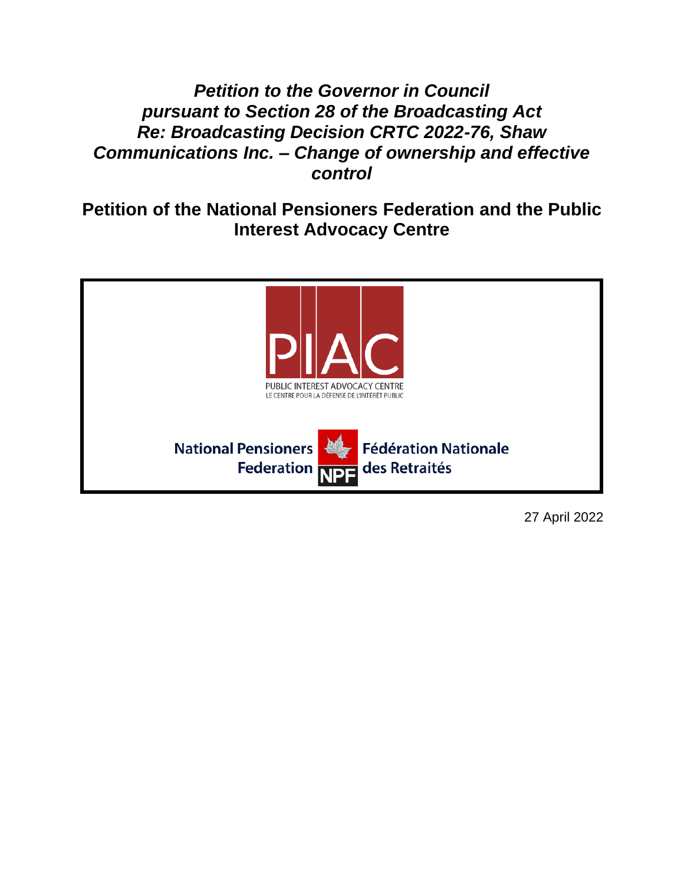# *Petition to the Governor in Council pursuant to Section 28 of the Broadcasting Act Re: Broadcasting Decision CRTC 2022-76, Shaw Communications Inc. – Change of ownership and effective control*

**Petition of the National Pensioners Federation and the Public Interest Advocacy Centre**



27 April 2022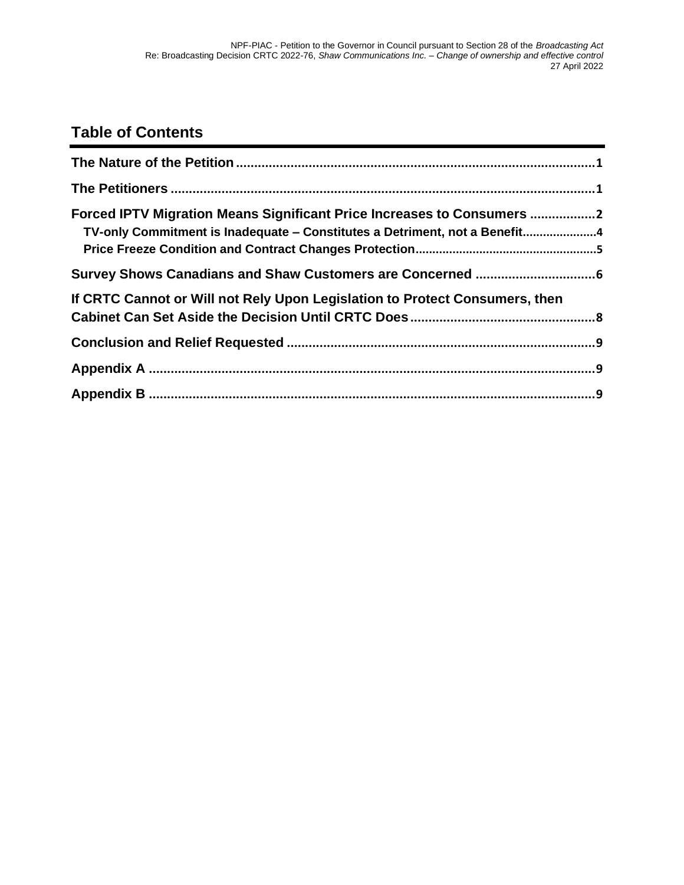# **Table of Contents**

| Forced IPTV Migration Means Significant Price Increases to Consumers 2<br>TV-only Commitment is Inadequate - Constitutes a Detriment, not a Benefit4 |  |
|------------------------------------------------------------------------------------------------------------------------------------------------------|--|
|                                                                                                                                                      |  |
| If CRTC Cannot or Will not Rely Upon Legislation to Protect Consumers, then                                                                          |  |
|                                                                                                                                                      |  |
|                                                                                                                                                      |  |
|                                                                                                                                                      |  |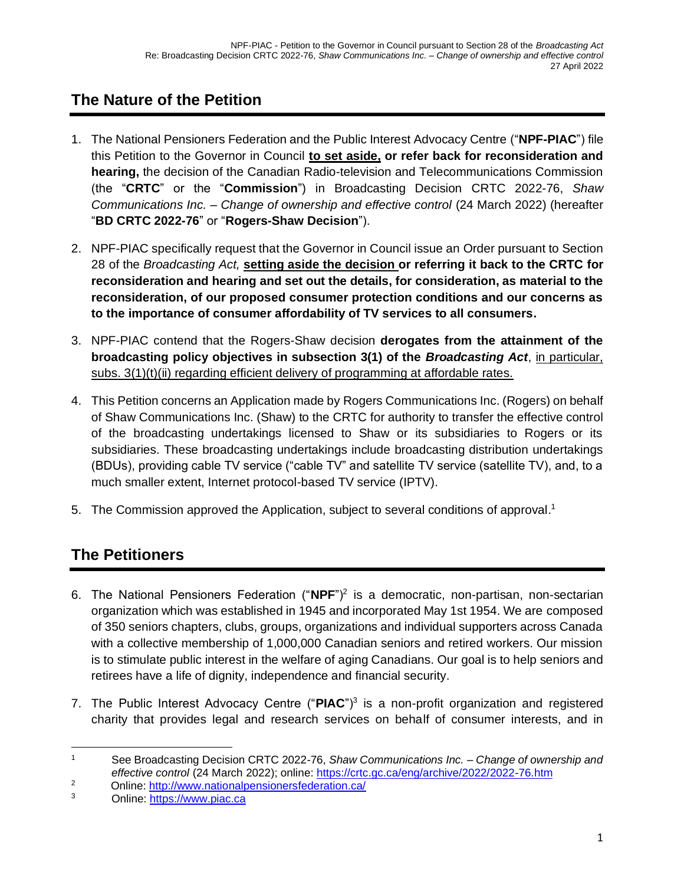# <span id="page-4-0"></span>**The Nature of the Petition**

- 1. The National Pensioners Federation and the Public Interest Advocacy Centre ("**NPF-PIAC**") file this Petition to the Governor in Council **to set aside, or refer back for reconsideration and hearing,** the decision of the Canadian Radio-television and Telecommunications Commission (the "**CRTC**" or the "**Commission**") in Broadcasting Decision CRTC 2022-76, *Shaw Communications Inc. – Change of ownership and effective control* (24 March 2022) (hereafter "**BD CRTC 2022-76**" or "**Rogers-Shaw Decision**").
- 2. NPF-PIAC specifically request that the Governor in Council issue an Order pursuant to Section 28 of the *Broadcasting Act,* **setting aside the decision or referring it back to the CRTC for reconsideration and hearing and set out the details, for consideration, as material to the reconsideration, of our proposed consumer protection conditions and our concerns as to the importance of consumer affordability of TV services to all consumers.**
- 3. NPF-PIAC contend that the Rogers-Shaw decision **derogates from the attainment of the broadcasting policy objectives in subsection 3(1) of the** *Broadcasting Act*, in particular, subs. 3(1)(t)(ii) regarding efficient delivery of programming at affordable rates.
- 4. This Petition concerns an Application made by Rogers Communications Inc. (Rogers) on behalf of Shaw Communications Inc. (Shaw) to the CRTC for authority to transfer the effective control of the broadcasting undertakings licensed to Shaw or its subsidiaries to Rogers or its subsidiaries. These broadcasting undertakings include broadcasting distribution undertakings (BDUs), providing cable TV service ("cable TV" and satellite TV service (satellite TV), and, to a much smaller extent, Internet protocol-based TV service (IPTV).
- 5. The Commission approved the Application, subject to several conditions of approval.<sup>1</sup>

## <span id="page-4-1"></span>**The Petitioners**

- 6. The National Pensioners Federation ("**NPF**")<sup>2</sup> is a democratic, non-partisan, non-sectarian organization which was established in 1945 and incorporated May 1st 1954. We are composed of 350 seniors chapters, clubs, groups, organizations and individual supporters across Canada with a collective membership of 1,000,000 Canadian seniors and retired workers. Our mission is to stimulate public interest in the welfare of aging Canadians. Our goal is to help seniors and retirees have a life of dignity, independence and financial security.
- 7. The Public Interest Advocacy Centre ("**PIAC**")<sup>3</sup> is a non-profit organization and registered charity that provides legal and research services on behalf of consumer interests, and in

<sup>1</sup> See Broadcasting Decision CRTC 2022-76, *Shaw Communications Inc. – Change of ownership and effective control* (24 March 2022); online:<https://crtc.gc.ca/eng/archive/2022/2022-76.htm>

<sup>&</sup>lt;sup>2</sup> Online:<http://www.nationalpensionersfederation.ca/>

<sup>3</sup> Online: [https://www.piac.ca](https://www.piac.ca/)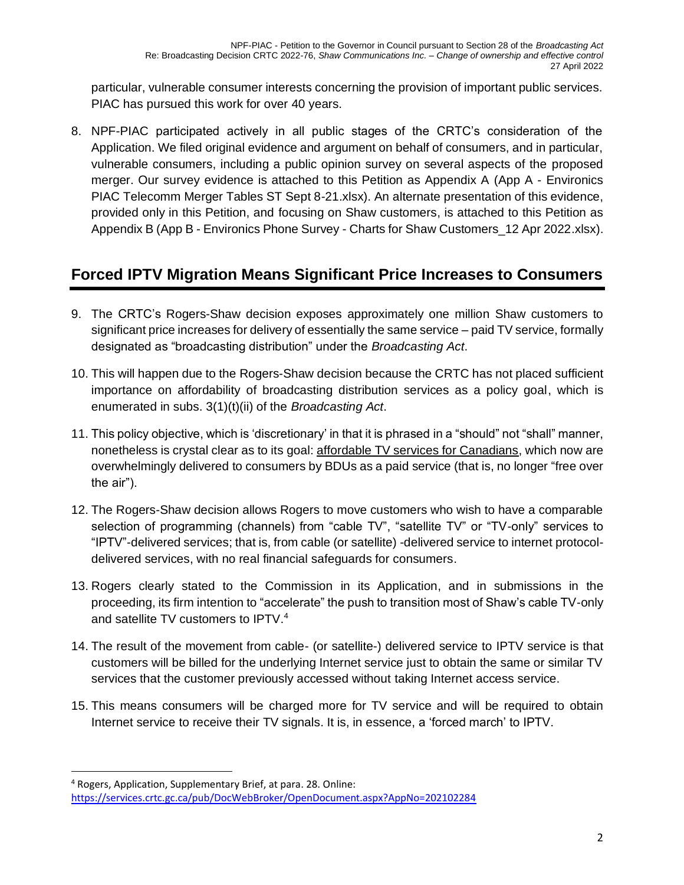particular, vulnerable consumer interests concerning the provision of important public services. PIAC has pursued this work for over 40 years.

8. NPF-PIAC participated actively in all public stages of the CRTC's consideration of the Application. We filed original evidence and argument on behalf of consumers, and in particular, vulnerable consumers, including a public opinion survey on several aspects of the proposed merger. Our survey evidence is attached to this Petition as Appendix A (App A - Environics PIAC Telecomm Merger Tables ST Sept 8-21.xlsx). An alternate presentation of this evidence, provided only in this Petition, and focusing on Shaw customers, is attached to this Petition as Appendix B (App B - Environics Phone Survey - Charts for Shaw Customers\_12 Apr 2022.xlsx).

## <span id="page-5-0"></span>**Forced IPTV Migration Means Significant Price Increases to Consumers**

- 9. The CRTC's Rogers-Shaw decision exposes approximately one million Shaw customers to significant price increases for delivery of essentially the same service – paid TV service, formally designated as "broadcasting distribution" under the *Broadcasting Act*.
- 10. This will happen due to the Rogers-Shaw decision because the CRTC has not placed sufficient importance on affordability of broadcasting distribution services as a policy goal, which is enumerated in subs. 3(1)(t)(ii) of the *Broadcasting Act*.
- 11. This policy objective, which is 'discretionary' in that it is phrased in a "should" not "shall" manner, nonetheless is crystal clear as to its goal: affordable TV services for Canadians, which now are overwhelmingly delivered to consumers by BDUs as a paid service (that is, no longer "free over the air").
- 12. The Rogers-Shaw decision allows Rogers to move customers who wish to have a comparable selection of programming (channels) from "cable TV", "satellite TV" or "TV-only" services to "IPTV"-delivered services; that is, from cable (or satellite) -delivered service to internet protocoldelivered services, with no real financial safeguards for consumers.
- 13. Rogers clearly stated to the Commission in its Application, and in submissions in the proceeding, its firm intention to "accelerate" the push to transition most of Shaw's cable TV-only and satellite TV customers to IPTV. 4
- 14. The result of the movement from cable- (or satellite-) delivered service to IPTV service is that customers will be billed for the underlying Internet service just to obtain the same or similar TV services that the customer previously accessed without taking Internet access service.
- 15. This means consumers will be charged more for TV service and will be required to obtain Internet service to receive their TV signals. It is, in essence, a 'forced march' to IPTV.

<sup>4</sup> Rogers, Application, Supplementary Brief, at para. 28. Online: <https://services.crtc.gc.ca/pub/DocWebBroker/OpenDocument.aspx?AppNo=202102284>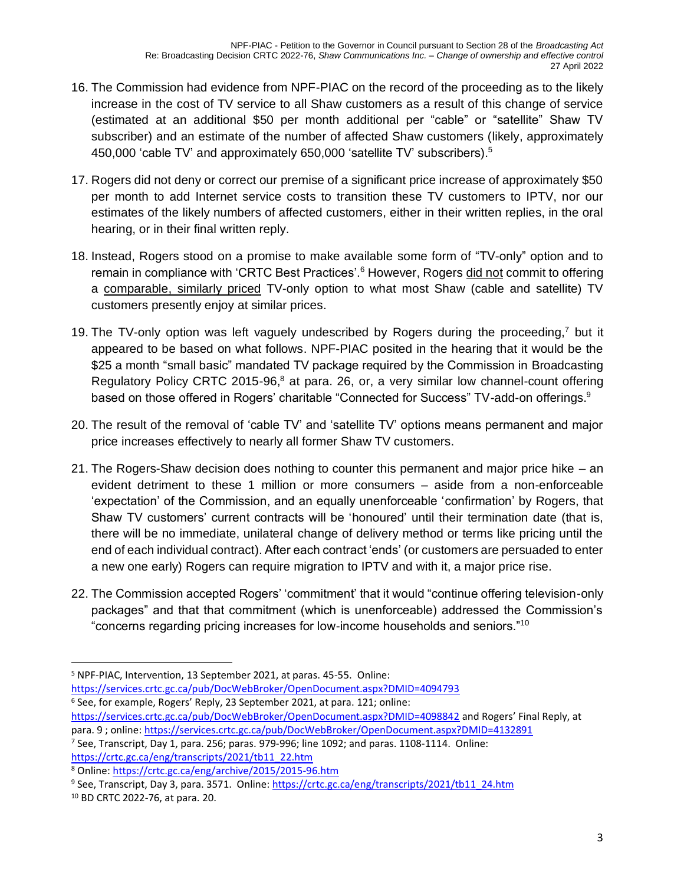- 16. The Commission had evidence from NPF-PIAC on the record of the proceeding as to the likely increase in the cost of TV service to all Shaw customers as a result of this change of service (estimated at an additional \$50 per month additional per "cable" or "satellite" Shaw TV subscriber) and an estimate of the number of affected Shaw customers (likely, approximately 450,000 'cable TV' and approximately 650,000 'satellite TV' subscribers).<sup>5</sup>
- 17. Rogers did not deny or correct our premise of a significant price increase of approximately \$50 per month to add Internet service costs to transition these TV customers to IPTV, nor our estimates of the likely numbers of affected customers, either in their written replies, in the oral hearing, or in their final written reply.
- 18. Instead, Rogers stood on a promise to make available some form of "TV-only" option and to remain in compliance with 'CRTC Best Practices'.<sup>6</sup> However, Rogers did not commit to offering a comparable, similarly priced TV-only option to what most Shaw (cable and satellite) TV customers presently enjoy at similar prices.
- 19. The TV-only option was left vaguely undescribed by Rogers during the proceeding,<sup>7</sup> but it appeared to be based on what follows. NPF-PIAC posited in the hearing that it would be the \$25 a month "small basic" mandated TV package required by the Commission in Broadcasting Regulatory Policy CRTC 2015-96, $8$  at para. 26, or, a very similar low channel-count offering based on those offered in Rogers' charitable "Connected for Success" TV-add-on offerings.<sup>9</sup>
- 20. The result of the removal of 'cable TV' and 'satellite TV' options means permanent and major price increases effectively to nearly all former Shaw TV customers.
- 21. The Rogers-Shaw decision does nothing to counter this permanent and major price hike an evident detriment to these 1 million or more consumers – aside from a non-enforceable 'expectation' of the Commission, and an equally unenforceable 'confirmation' by Rogers, that Shaw TV customers' current contracts will be 'honoured' until their termination date (that is, there will be no immediate, unilateral change of delivery method or terms like pricing until the end of each individual contract). After each contract 'ends' (or customers are persuaded to enter a new one early) Rogers can require migration to IPTV and with it, a major price rise.
- 22. The Commission accepted Rogers' 'commitment' that it would "continue offering television-only packages" and that that commitment (which is unenforceable) addressed the Commission's "concerns regarding pricing increases for low-income households and seniors."<sup>10</sup>

<https://services.crtc.gc.ca/pub/DocWebBroker/OpenDocument.aspx?DMID=4094793>

<sup>5</sup> NPF-PIAC, Intervention, 13 September 2021, at paras. 45-55. Online:

<sup>6</sup> See, for example, Rogers' Reply, 23 September 2021, at para. 121; online:

<https://services.crtc.gc.ca/pub/DocWebBroker/OpenDocument.aspx?DMID=4098842> and Rogers' Final Reply, at para. 9 ; online:<https://services.crtc.gc.ca/pub/DocWebBroker/OpenDocument.aspx?DMID=4132891>

<sup>&</sup>lt;sup>7</sup> See, Transcript, Day 1, para. 256; paras. 979-996; line 1092; and paras. 1108-1114. Online: [https://crtc.gc.ca/eng/transcripts/2021/tb11\\_22.htm](https://crtc.gc.ca/eng/transcripts/2021/tb11_22.htm)

<sup>8</sup> Online:<https://crtc.gc.ca/eng/archive/2015/2015-96.htm>

<sup>9</sup> See, Transcript, Day 3, para. 3571. Online: [https://crtc.gc.ca/eng/transcripts/2021/tb11\\_24.htm](https://crtc.gc.ca/eng/transcripts/2021/tb11_24.htm)

<sup>10</sup> BD CRTC 2022-76, at para. 20.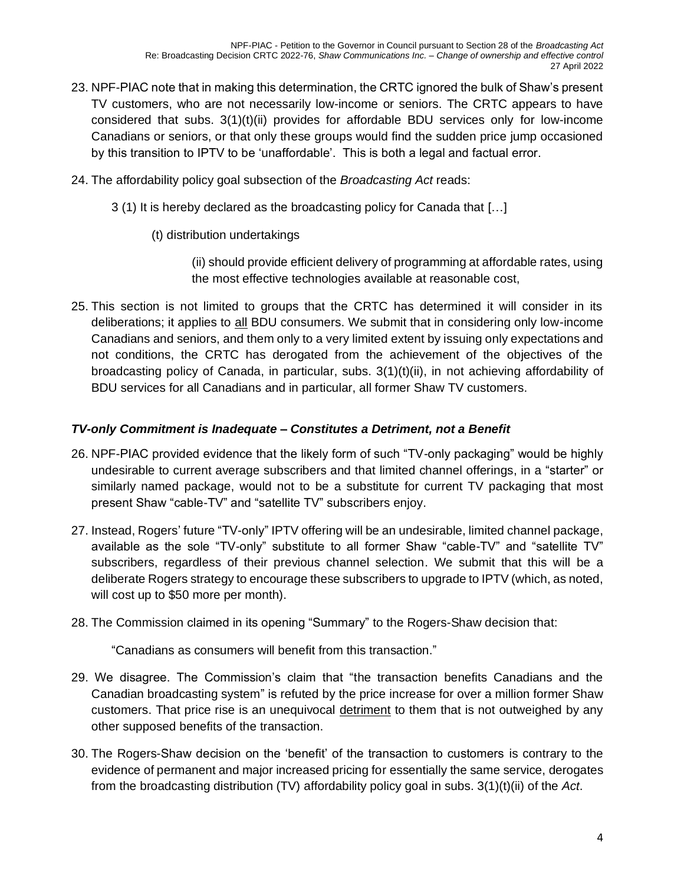- 23. NPF-PIAC note that in making this determination, the CRTC ignored the bulk of Shaw's present TV customers, who are not necessarily low-income or seniors. The CRTC appears to have considered that subs.  $3(1)(t)(ii)$  provides for affordable BDU services only for low-income Canadians or seniors, or that only these groups would find the sudden price jump occasioned by this transition to IPTV to be 'unaffordable'. This is both a legal and factual error.
- 24. The affordability policy goal subsection of the *Broadcasting Act* reads:
	- 3 (1) It is hereby declared as the broadcasting policy for Canada that […]
		- (t) distribution undertakings

(ii) should provide efficient delivery of programming at affordable rates, using the most effective technologies available at reasonable cost,

25. This section is not limited to groups that the CRTC has determined it will consider in its deliberations; it applies to all BDU consumers. We submit that in considering only low-income Canadians and seniors, and them only to a very limited extent by issuing only expectations and not conditions, the CRTC has derogated from the achievement of the objectives of the broadcasting policy of Canada, in particular, subs. 3(1)(t)(ii), in not achieving affordability of BDU services for all Canadians and in particular, all former Shaw TV customers.

### <span id="page-7-0"></span>*TV-only Commitment is Inadequate – Constitutes a Detriment, not a Benefit*

- 26. NPF-PIAC provided evidence that the likely form of such "TV-only packaging" would be highly undesirable to current average subscribers and that limited channel offerings, in a "starter" or similarly named package, would not to be a substitute for current TV packaging that most present Shaw "cable-TV" and "satellite TV" subscribers enjoy.
- 27. Instead, Rogers' future "TV-only" IPTV offering will be an undesirable, limited channel package, available as the sole "TV-only" substitute to all former Shaw "cable-TV" and "satellite TV" subscribers, regardless of their previous channel selection. We submit that this will be a deliberate Rogers strategy to encourage these subscribers to upgrade to IPTV (which, as noted, will cost up to \$50 more per month).
- 28. The Commission claimed in its opening "Summary" to the Rogers-Shaw decision that:

"Canadians as consumers will benefit from this transaction."

- 29. We disagree. The Commission's claim that "the transaction benefits Canadians and the Canadian broadcasting system" is refuted by the price increase for over a million former Shaw customers. That price rise is an unequivocal detriment to them that is not outweighed by any other supposed benefits of the transaction.
- 30. The Rogers-Shaw decision on the 'benefit' of the transaction to customers is contrary to the evidence of permanent and major increased pricing for essentially the same service, derogates from the broadcasting distribution (TV) affordability policy goal in subs. 3(1)(t)(ii) of the *Act*.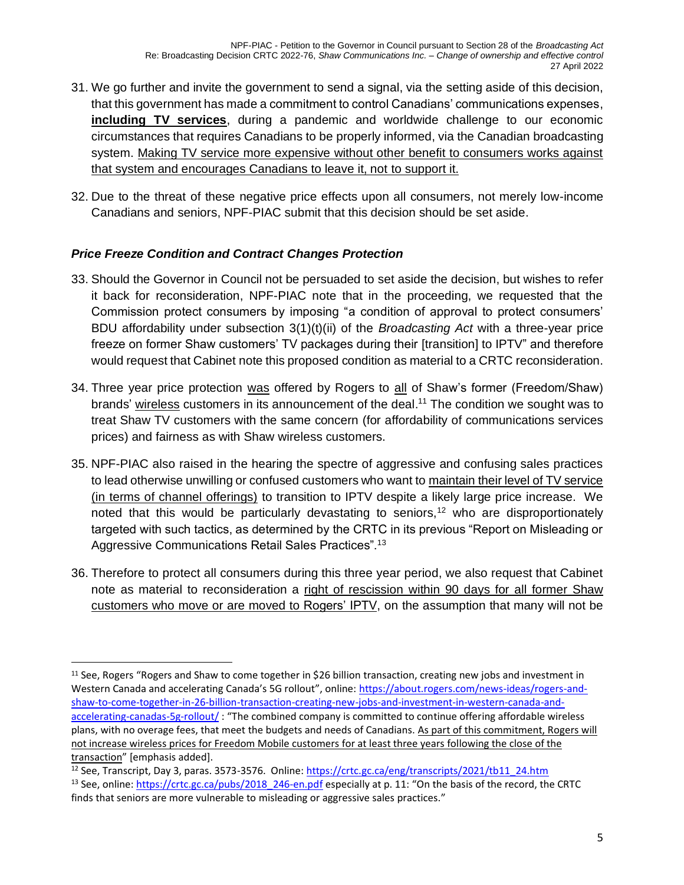- 31. We go further and invite the government to send a signal, via the setting aside of this decision, that this government has made a commitment to control Canadians' communications expenses, **including TV services**, during a pandemic and worldwide challenge to our economic circumstances that requires Canadians to be properly informed, via the Canadian broadcasting system. Making TV service more expensive without other benefit to consumers works against that system and encourages Canadians to leave it, not to support it.
- 32. Due to the threat of these negative price effects upon all consumers, not merely low-income Canadians and seniors, NPF-PIAC submit that this decision should be set aside.

### <span id="page-8-0"></span>*Price Freeze Condition and Contract Changes Protection*

- 33. Should the Governor in Council not be persuaded to set aside the decision, but wishes to refer it back for reconsideration, NPF-PIAC note that in the proceeding, we requested that the Commission protect consumers by imposing "a condition of approval to protect consumers' BDU affordability under subsection 3(1)(t)(ii) of the *Broadcasting Act* with a three-year price freeze on former Shaw customers' TV packages during their [transition] to IPTV" and therefore would request that Cabinet note this proposed condition as material to a CRTC reconsideration.
- 34. Three year price protection was offered by Rogers to all of Shaw's former (Freedom/Shaw) brands' wireless customers in its announcement of the deal.<sup>11</sup> The condition we sought was to treat Shaw TV customers with the same concern (for affordability of communications services prices) and fairness as with Shaw wireless customers.
- 35. NPF-PIAC also raised in the hearing the spectre of aggressive and confusing sales practices to lead otherwise unwilling or confused customers who want to maintain their level of TV service (in terms of channel offerings) to transition to IPTV despite a likely large price increase. We noted that this would be particularly devastating to seniors,<sup>12</sup> who are disproportionately targeted with such tactics, as determined by the CRTC in its previous "Report on Misleading or Aggressive Communications Retail Sales Practices".<sup>13</sup>
- 36. Therefore to protect all consumers during this three year period, we also request that Cabinet note as material to reconsideration a right of rescission within 90 days for all former Shaw customers who move or are moved to Rogers' IPTV, on the assumption that many will not be

 $11$  See, Rogers "Rogers and Shaw to come together in \$26 billion transaction, creating new jobs and investment in Western Canada and accelerating Canada's 5G rollout", online: [https://about.rogers.com/news-ideas/rogers-and](https://about.rogers.com/news-ideas/rogers-and-shaw-to-come-together-in-26-billion-transaction-creating-new-jobs-and-investment-in-western-canada-and-accelerating-canadas-5g-rollout/)[shaw-to-come-together-in-26-billion-transaction-creating-new-jobs-and-investment-in-western-canada-and](https://about.rogers.com/news-ideas/rogers-and-shaw-to-come-together-in-26-billion-transaction-creating-new-jobs-and-investment-in-western-canada-and-accelerating-canadas-5g-rollout/)[accelerating-canadas-5g-rollout/](https://about.rogers.com/news-ideas/rogers-and-shaw-to-come-together-in-26-billion-transaction-creating-new-jobs-and-investment-in-western-canada-and-accelerating-canadas-5g-rollout/) : "The combined company is committed to continue offering affordable wireless plans, with no overage fees, that meet the budgets and needs of Canadians. As part of this commitment, Rogers will not increase wireless prices for Freedom Mobile customers for at least three years following the close of the transaction" [emphasis added].

<sup>&</sup>lt;sup>12</sup> See, Transcript, Day 3, paras. 3573-3576. Online: [https://crtc.gc.ca/eng/transcripts/2021/tb11\\_24.htm](https://crtc.gc.ca/eng/transcripts/2021/tb11_24.htm) <sup>13</sup> See, online: [https://crtc.gc.ca/pubs/2018\\_246-en.pdf](https://crtc.gc.ca/pubs/2018_246-en.pdf) especially at p. 11: "On the basis of the record, the CRTC finds that seniors are more vulnerable to misleading or aggressive sales practices."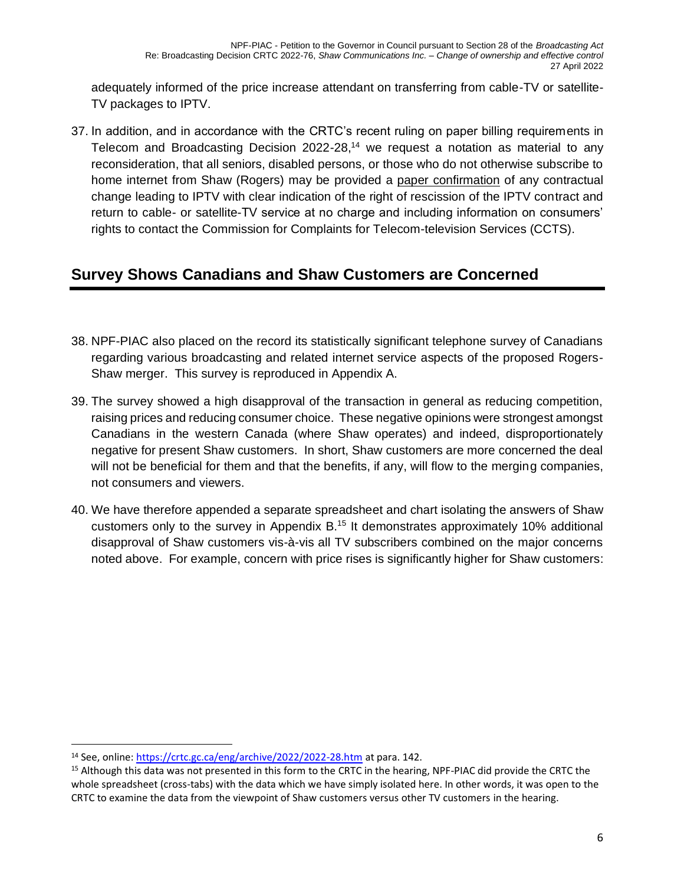adequately informed of the price increase attendant on transferring from cable-TV or satellite-TV packages to IPTV.

37. In addition, and in accordance with the CRTC's recent ruling on paper billing requirements in Telecom and Broadcasting Decision 2022-28,<sup>14</sup> we request a notation as material to any reconsideration, that all seniors, disabled persons, or those who do not otherwise subscribe to home internet from Shaw (Rogers) may be provided a paper confirmation of any contractual change leading to IPTV with clear indication of the right of rescission of the IPTV contract and return to cable- or satellite-TV service at no charge and including information on consumers' rights to contact the Commission for Complaints for Telecom-television Services (CCTS).

## <span id="page-9-0"></span>**Survey Shows Canadians and Shaw Customers are Concerned**

- 38. NPF-PIAC also placed on the record its statistically significant telephone survey of Canadians regarding various broadcasting and related internet service aspects of the proposed Rogers-Shaw merger. This survey is reproduced in Appendix A.
- 39. The survey showed a high disapproval of the transaction in general as reducing competition, raising prices and reducing consumer choice. These negative opinions were strongest amongst Canadians in the western Canada (where Shaw operates) and indeed, disproportionately negative for present Shaw customers. In short, Shaw customers are more concerned the deal will not be beneficial for them and that the benefits, if any, will flow to the merging companies, not consumers and viewers.
- 40. We have therefore appended a separate spreadsheet and chart isolating the answers of Shaw customers only to the survey in Appendix B.<sup>15</sup> It demonstrates approximately 10% additional disapproval of Shaw customers vis-à-vis all TV subscribers combined on the major concerns noted above. For example, concern with price rises is significantly higher for Shaw customers:

<sup>14</sup> See, online:<https://crtc.gc.ca/eng/archive/2022/2022-28.htm> at para. 142.

<sup>&</sup>lt;sup>15</sup> Although this data was not presented in this form to the CRTC in the hearing, NPF-PIAC did provide the CRTC the whole spreadsheet (cross-tabs) with the data which we have simply isolated here. In other words, it was open to the CRTC to examine the data from the viewpoint of Shaw customers versus other TV customers in the hearing.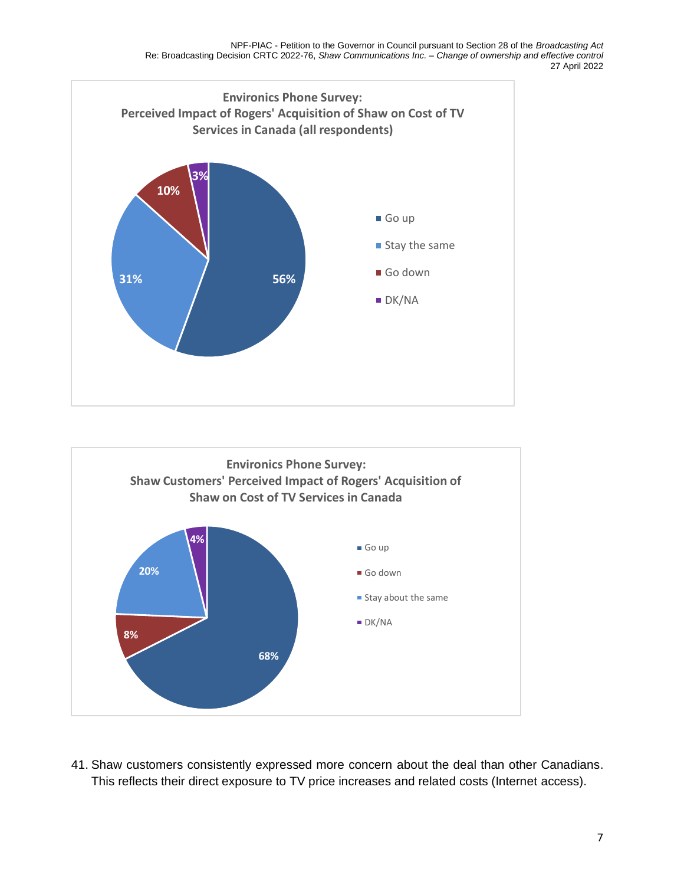



41. Shaw customers consistently expressed more concern about the deal than other Canadians. This reflects their direct exposure to TV price increases and related costs (Internet access).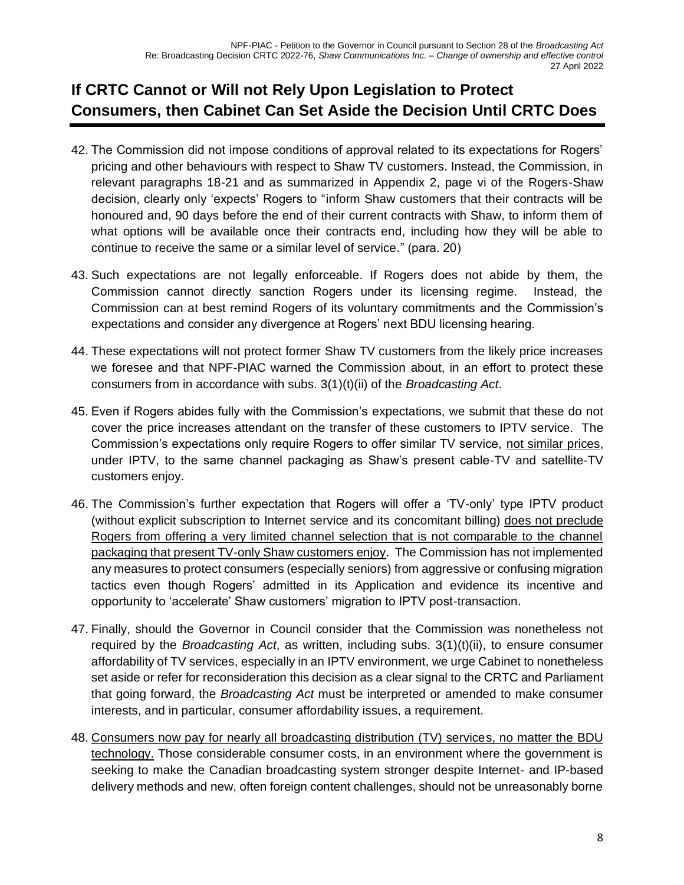## <span id="page-11-0"></span>**If CRTC Cannot or Will not Rely Upon Legislation to Protect Consumers, then Cabinet Can Set Aside the Decision Until CRTC Does**

- 42. The Commission did not impose conditions of approval related to its expectations for Rogers' pricing and other behaviours with respect to Shaw TV customers. Instead, the Commission, in relevant paragraphs 18-21 and as summarized in Appendix 2, page vi of the Rogers-Shaw decision, clearly only 'expects' Rogers to "inform Shaw customers that their contracts will be honoured and, 90 days before the end of their current contracts with Shaw, to inform them of what options will be available once their contracts end, including how they will be able to continue to receive the same or a similar level of service." (para. 20)
- 43. Such expectations are not legally enforceable. If Rogers does not abide by them, the Commission cannot directly sanction Rogers under its licensing regime. Instead, the Commission can at best remind Rogers of its voluntary commitments and the Commission's expectations and consider any divergence at Rogers' next BDU licensing hearing.
- 44. These expectations will not protect former Shaw TV customers from the likely price increases we foresee and that NPF-PIAC warned the Commission about, in an effort to protect these consumers from in accordance with subs. 3(1)(t)(ii) of the *Broadcasting Act*.
- 45. Even if Rogers abides fully with the Commission's expectations, we submit that these do not cover the price increases attendant on the transfer of these customers to IPTV service. The Commission's expectations only require Rogers to offer similar TV service, not similar prices, under IPTV, to the same channel packaging as Shaw's present cable-TV and satellite-TV customers enjoy.
- 46. The Commission's further expectation that Rogers will offer a 'TV-only' type IPTV product (without explicit subscription to Internet service and its concomitant billing) does not preclude Rogers from offering a very limited channel selection that is not comparable to the channel packaging that present TV-only Shaw customers enjoy. The Commission has not implemented any measures to protect consumers (especially seniors) from aggressive or confusing migration tactics even though Rogers' admitted in its Application and evidence its incentive and opportunity to 'accelerate' Shaw customers' migration to IPTV post-transaction.
- 47. Finally, should the Governor in Council consider that the Commission was nonetheless not required by the *Broadcasting Act*, as written, including subs. 3(1)(t)(ii), to ensure consumer affordability of TV services, especially in an IPTV environment, we urge Cabinet to nonetheless set aside or refer for reconsideration this decision as a clear signal to the CRTC and Parliament that going forward, the *Broadcasting Act* must be interpreted or amended to make consumer interests, and in particular, consumer affordability issues, a requirement.
- 48. Consumers now pay for nearly all broadcasting distribution (TV) services, no matter the BDU technology. Those considerable consumer costs, in an environment where the government is seeking to make the Canadian broadcasting system stronger despite Internet- and IP-based delivery methods and new, often foreign content challenges, should not be unreasonably borne